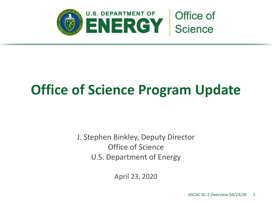

# **Office of Science Program Update**

J. Stephen Binkley, Deputy Director Office of Science U.S. Department of Energy

April 23, 2020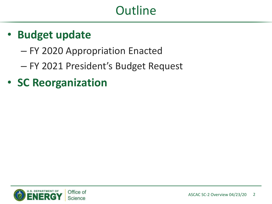## **Outline**

### • **Budget update**

- FY 2020 Appropriation Enacted
- FY 2021 President's Budget Request
- **SC Reorganization**

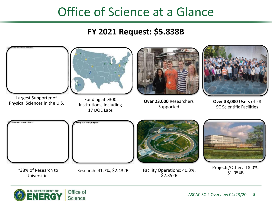### Office of Science at a Glance

### **FY 2021 Request: \$5.838B**



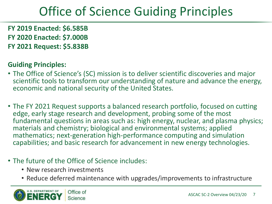# Office of Science Guiding Principles

**FY 2019 Enacted: \$6.585B FY 2020 Enacted: \$7.000B FY 2021 Request: \$5.838B**

### **Guiding Principles:**

- The Office of Science's (SC) mission is to deliver scientific discoveries and major scientific tools to transform our understanding of nature and advance the energy, economic and national security of the United States.
- The FY 2021 Request supports a balanced research portfolio, focused on cutting edge, early stage research and development, probing some of the most fundamental questions in areas such as: high energy, nuclear, and plasma physics; materials and chemistry; biological and environmental systems; applied mathematics; next-generation high-performance computing and simulation capabilities; and basic research for advancement in new energy technologies.
- The future of the Office of Science includes:
	- New research investments
	- Reduce deferred maintenance with upgrades/improvements to infrastructure

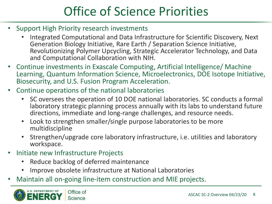# Office of Science Priorities

- Support High Priority research investments
	- Integrated Computational and Data Infrastructure for Scientific Discovery, Next Generation Biology Initiative, Rare Earth / Separation Science Initiative, Revolutionizing Polymer Upcycling, Strategic Accelerator Technology, and Data and Computational Collaboration with NIH.
- Continue investments in Exascale Computing, Artificial Intelligence/ Machine Learning, Quantum Information Science, Microelectronics, DOE Isotope Initiative, Biosecurity, and U.S. Fusion Program Acceleration.
- Continue operations of the national laboratories
	- SC oversees the operation of 10 DOE national laboratories. SC conducts a formal laboratory strategic planning process annually with its labs to understand future directions, immediate and long-range challenges, and resource needs.
	- Look to strengthen smaller/single purpose laboratories to be more multidiscipline
	- Strengthen/upgrade core laboratory infrastructure, i.e. utilities and laboratory workspace.
- Initiate new Infrastructure Projects
	- Reduce backlog of deferred maintenance
	- Improve obsolete infrastructure at National Laboratories
- Maintain all on-going line-item construction and MIE projects.

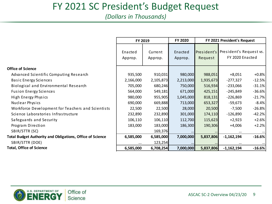### FY 2021 SC President's Budget Request

*(Dollars in Thousands)*

|                                                                  | FY 2019            |                    | FY 2020            | FY 2021 President's Request |                                            |          |
|------------------------------------------------------------------|--------------------|--------------------|--------------------|-----------------------------|--------------------------------------------|----------|
|                                                                  | Enacted<br>Approp. | Current<br>Approp. | Enacted<br>Approp. | President's<br>Request      | President's Request vs.<br>FY 2020 Enacted |          |
| <b>Office of Science</b>                                         |                    |                    |                    |                             |                                            |          |
| Advanced Scientific Computing Research                           | 935,500            | 910,031            | 980,000            | 988,051                     | $+8,051$                                   | $+0.8%$  |
| <b>Basic Energy Sciences</b>                                     | 2,166,000          | 2,105,873          | 2,213,000          | 1,935,673                   | $-277,327$                                 | $-12.5%$ |
| Biological and Environmental Research                            | 705,000            | 680,246            | 750,000            | 516,934                     | $-233,066$                                 | $-31.1%$ |
| <b>Fusion Energy Sciences</b>                                    | 564,000            | 549,181            | 671,000            | 425,151                     | $-245,849$                                 | $-36.6%$ |
| High Energy Physics                                              | 980,000            | 955,905            | 1,045,000          | 818,131                     | $-226,869$                                 | $-21.7%$ |
| Nuclear Physics                                                  | 690,000            | 669,888            | 713,000            | 653,327                     | $-59,673$                                  | $-8.4%$  |
| Workforce Development for Teachers and Scientists                | 22,500             | 22,500             | 28,000             | 20,500                      | $-7,500$                                   | $-26.8%$ |
| Science Laboratories Infrastructure                              | 232,890            | 232,890            | 301,000            | 174,110                     | $-126,890$                                 | $-42.2%$ |
| Safeguards and Security                                          | 106,110            | 106,110            | 112,700            | 115,623                     | $+2,923$                                   | $+2.6%$  |
| Program Direction                                                | 183,000            | 183,000            | 186,300            | 190,306                     | $+4,006$                                   | $+2.2%$  |
| SBIR/STTR (SC)                                                   |                    | 169,376            |                    |                             | $\cdots$                                   |          |
| <b>Total Budget Authority and Obligations, Office of Science</b> | 6,585,000          | 6,585,000          | 7,000,000          | 5,837,806                   | $-1,162,194$                               | $-16.6%$ |
| SBIR/STTR (DOE)                                                  | $\cdots$           | 123,254            |                    |                             |                                            |          |
| <b>Total, Office of Science</b>                                  | 6,585,000          | 6,708,254          | 7,000,000          | 5,837,806                   | $-1,162,194$                               | $-16.6%$ |

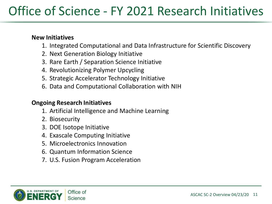## Office of Science - FY 2021 Research Initiatives

#### **New Initiatives**

- 1. Integrated Computational and Data Infrastructure for Scientific Discovery
- 2. Next Generation Biology Initiative
- 3. Rare Earth / Separation Science Initiative
- 4. Revolutionizing Polymer Upcycling
- 5. Strategic Accelerator Technology Initiative
- 6. Data and Computational Collaboration with NIH

#### **Ongoing Research Initiatives**

- 1. Artificial Intelligence and Machine Learning
- 2. Biosecurity
- 3. DOE Isotope Initiative
- 4. Exascale Computing Initiative
- 5. Microelectronics Innovation
- 6. Quantum Information Science
- 7. U.S. Fusion Program Acceleration

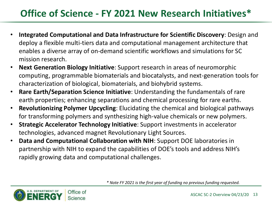### **Office of Science - FY 2021 New Research Initiatives\***

- **Integrated Computational and Data Infrastructure for Scientific Discovery**: Design and deploy a flexible multi-tiers data and computational management architecture that enables a diverse array of on-demand scientific workflows and simulations for SC mission research.
- **Next Generation Biology Initiative**: Support research in areas of neuromorphic computing, programmable biomaterials and biocatalysts, and next-generation tools for characterization of biological, biomaterials, and biohybrid systems.
- **Rare Earth/Separation Science Initiative**: Understanding the fundamentals of rare earth properties; enhancing separations and chemical processing for rare earths.
- **Revolutionizing Polymer Upcycling**: Elucidating the chemical and biological pathways for transforming polymers and synthesizing high-value chemicals or new polymers.
- **Strategic Accelerator Technology Initiative**: Support investments in accelerator technologies, advanced magnet Revolutionary Light Sources.
- **Data and Computational Collaboration with NIH**: Support DOE laboratories in partnership with NIH to expand the capabilities of DOE's tools and address NIH's rapidly growing data and computational challenges.

*\* Note FY 2021 is the first year of funding no previous funding requested.*

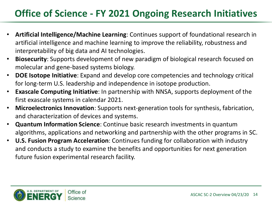### **Office of Science - FY 2021 Ongoing Research Initiatives**

- **Artificial Intelligence/Machine Learning**: Continues support of foundational research in artificial intelligence and machine learning to improve the reliability, robustness and interpretability of big data and AI technologies.
- **Biosecurity**: Supports development of new paradigm of biological research focused on molecular and gene-based systems biology.
- **DOE Isotope Initiative**: Expand and develop core competencies and technology critical for long-term U.S. leadership and independence in isotope production.
- **Exascale Computing Initiative**: In partnership with NNSA, supports deployment of the first exascale systems in calendar 2021.
- **Microelectronics Innovation**: Supports next-generation tools for synthesis, fabrication, and characterization of devices and systems.
- **Quantum Information Science**: Continue basic research investments in quantum algorithms, applications and networking and partnership with the other programs in SC.
- **U.S. Fusion Program Acceleration**: Continues funding for collaboration with industry and conducts a study to examine the benefits and opportunities for next generation future fusion experimental research facility.

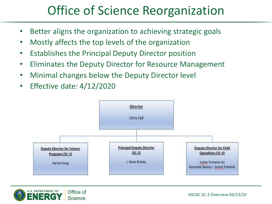## Office of Science Reorganization

- Better aligns the organization to achieving strategic goals
- Mostly affects the top levels of the organization
- Establishes the Principal Deputy Director position
- Eliminates the Deputy Director for Resource Management
- Minimal changes below the Deputy Director level
- Effective date: 4/12/2020